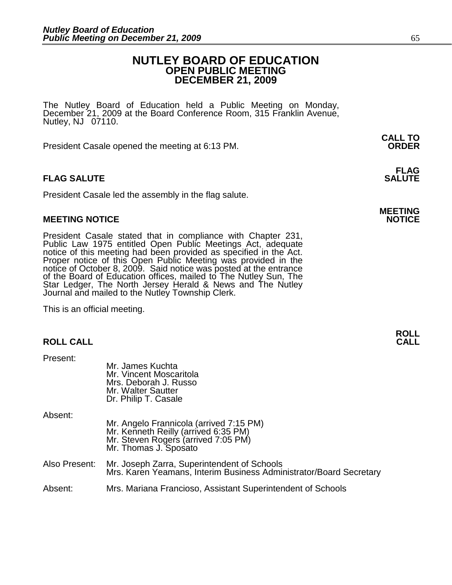# **NUTLEY BOARD OF EDUCATION OPEN PUBLIC MEETING DECEMBER 21, 2009**

The Nutley Board of Education held a Public Meeting on Monday, December 21, 2009 at the Board Conference Room, 315 Franklin Avenue, Nutley, NJ 07110.

 **CALL TO**  President Casale opened the meeting at 6:13 PM. **ORDER**

# **FLAG SALUTE** SALUTE SALUTE SALUTE SALUTE SALUTE

President Casale led the assembly in the flag salute.

### **MEETING NOTICE NOTICE**

President Casale stated that in compliance with Chapter 231, Public Law 1975 entitled Open Public Meetings Act, adequate notice of this meeting had been provided as specified in the Act. Proper notice of this Open Public Meeting was provided in the notice of October 8, 2009. Said notice was posted at the entrance of the Board of Education offices, mailed to The Nutley Sun, The Star Ledger, The North Jersey Herald & News and The Nutley Journal and mailed to the Nutley Township Clerk.

This is an official meeting.

| <b>CALL</b> |
|-------------|
|             |

| Present:      | Mr. James Kuchta<br>Mr. Vincent Moscaritola<br>Mrs. Deborah J. Russo<br>Mr. Walter Sautter<br>Dr. Philip T. Casale                              |
|---------------|-------------------------------------------------------------------------------------------------------------------------------------------------|
| Absent:       | Mr. Angelo Frannicola (arrived 7:15 PM)<br>Mr. Kenneth Reilly (arrived 6:35 PM)<br>Mr. Steven Rogers (arrived 7:05 PM)<br>Mr. Thomas J. Sposato |
| Also Present: | Mr. Joseph Zarra, Superintendent of Schools<br>Mrs. Karen Yeamans, Interim Business Administrator/Board Secretary                               |
| Absent:       | Mrs. Mariana Francioso, Assistant Superintendent of Schools                                                                                     |

# **FLAG**

# **MEETING**

**ROLL**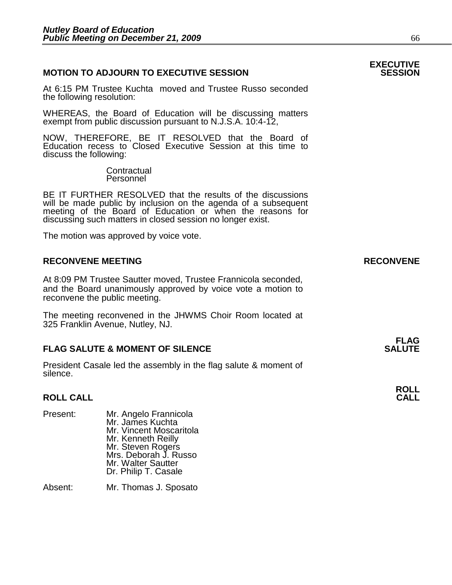# **MOTION TO ADJOURN TO EXECUTIVE SESSION**

At 6:15 PM Trustee Kuchta moved and Trustee Russo seconded the following resolution:

WHEREAS, the Board of Education will be discussing matters exempt from public discussion pursuant to N.J.S.A. 10:4-12,

NOW, THEREFORE, BE IT RESOLVED that the Board of Education recess to Closed Executive Session at this time to discuss the following:

> **Contractual** Personnel

BE IT FURTHER RESOLVED that the results of the discussions will be made public by inclusion on the agenda of a subsequent meeting of the Board of Education or when the reasons for discussing such matters in closed session no longer exist.

The motion was approved by voice vote.

# **RECONVENE MEETING RECONVENE**

At 8:09 PM Trustee Sautter moved, Trustee Frannicola seconded, and the Board unanimously approved by voice vote a motion to reconvene the public meeting.

The meeting reconvened in the JHWMS Choir Room located at 325 Franklin Avenue, Nutley, NJ.

#### **FLAG FLAG SALUTE & MOMENT OF SILENCE SALUTE**

President Casale led the assembly in the flag salute & moment of silence.

#### **ROLL CALL CALL**

| Present: | Mr. Angelo Frannicola<br>Mr. James Kuchta<br>Mr. Vincent Moscaritola<br>Mr. Kenneth Reilly<br>Mr. Steven Rogers<br>Mrs. Deborah J. Russo<br>Mr. Walter Sautter<br>Dr. Philip T. Casale |
|----------|----------------------------------------------------------------------------------------------------------------------------------------------------------------------------------------|
| Absent:  | Mr. Thomas J. Sposato                                                                                                                                                                  |

**ROLL**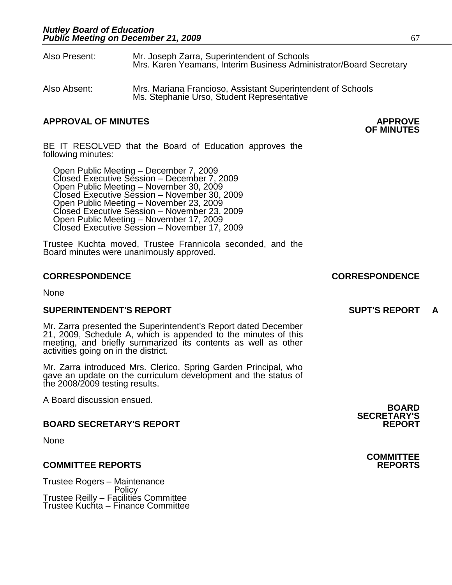- Also Present: Mr. Joseph Zarra, Superintendent of Schools Mrs. Karen Yeamans, Interim Business Administrator/Board Secretary
- Also Absent: Mrs. Mariana Francioso, Assistant Superintendent of Schools Ms. Stephanie Urso, Student Representative

# **APPROVAL OF MINUTES APPROVE**

**OF MINUTES** 

BE IT RESOLVED that the Board of Education approves the following minutes:

 Open Public Meeting – December 7, 2009 Closed Executive Session – December 7, 2009 Open Public Meeting – November 30, 2009 Closed Executive Session – November 30, 2009 Open Public Meeting – November 23, 2009 Closed Executive Session – November 23, 2009 Open Public Meeting – November 17, 2009 Closed Executive Session – November 17, 2009

Trustee Kuchta moved, Trustee Frannicola seconded, and the Board minutes were unanimously approved.

# **CORRESPONDENCE CORRESPONDENCE**

None

# **SUPERINTENDENT'S REPORT SUPT'S REPORT A**

Mr. Zarra presented the Superintendent's Report dated December 21, 2009, Schedule A, which is appended to the minutes of this meeting, and briefly summarized its contents as well as other activities going on in the district.

Mr. Zarra introduced Mrs. Clerico, Spring Garden Principal, who gave an update on the curriculum development and the status of the 2008/2009 testing results.

A Board discussion ensued.

# **BOARD SECRETARY'S REPORT**

None

# **COMMITTEE REPORTS REPORTS**

Trustee Rogers – Maintenance **Policy** Trustee Reilly – Facilities Committee Trustee Kuchta – Finance Committee

**BOARD SECRETARY'S** 

**COMMITTEE**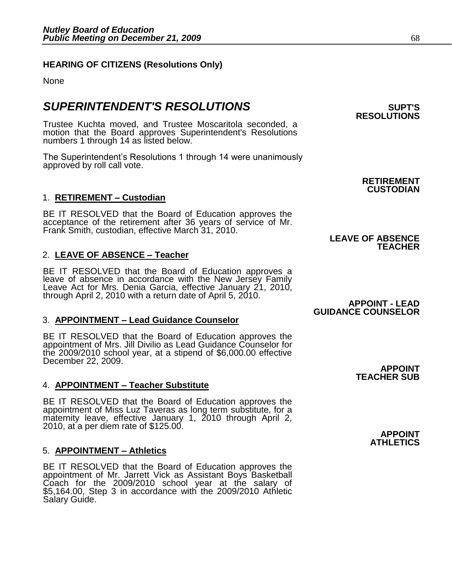# **HEARING OF CITIZENS (Resolutions Only)**

None

# $\boldsymbol{\mathsf{SUPERINTENDENT'S}$   $\boldsymbol{\mathsf{RESOLUTIONS}}$   $\boldsymbol{\mathsf{SUPTS}}$

Trustee Kuchta moved, and Trustee Moscaritola seconded, a motion that the Board approves Superintendent's Resolutions numbers 1 through 14 as listed below.

The Superintendent's Resolutions 1 through 14 were unanimously approved by roll call vote.

# 1. **RETIREMENT – Custodian**

BE IT RESOLVED that the Board of Education approves the acceptance of the retirement after 36 years of service of Mr. Frank Smith, custodian, effective March 31, 2010.

# 2. **LEAVE OF ABSENCE – Teacher**

BE IT RESOLVED that the Board of Education approves a leave of absence in accordance with the New Jersey Family Leave Act for Mrs. Denia Garcia, effective January 21, 2010, through April 2, 2010 with a return date of April 5, 2010.

# 3. **APPOINTMENT – Lead Guidance Counselor**

BE IT RESOLVED that the Board of Education approves the appointment of Mrs. Jill Divilio as Lead Guidance Counselor for the 2009/2010 school year, at a stipend of \$6,000.00 effective December 22, 2009.

# 4. **APPOINTMENT – Teacher Substitute**

BE IT RESOLVED that the Board of Education approves the appointment of Miss Luz Taveras as long term substitute, for a maternity leave, effective January 1, 2010 through April 2, 2010, at a per diem rate of \$125.00.

# 5. **APPOINTMENT – Athletics**

BE IT RESOLVED that the Board of Education approves the appointment of Mr. Jarrett Vick as Assistant Boys Basketball Coach for the 2009/2010 school year at the salary of \$5,164.00, Step 3 in accordance with the 2009/2010 Athletic Salary Guide.

**RESOLUTIONS** 

# **RETIREMENT CUSTODIAN**

# **TEACHER**

**LEAVE OF ABSENCE** 

**APPOINT - LEAD GUIDANCE COUNSELOR** 

> **APPOINT TEACHER SUB**

> > **APPOINT ATHLETICS**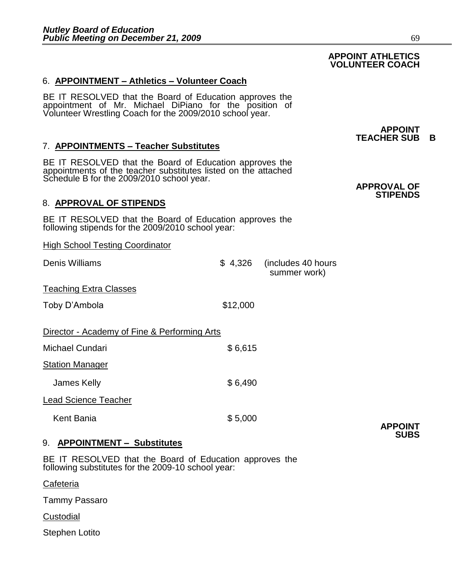# 6. **APPOINTMENT – Athletics – Volunteer Coach**

BE IT RESOLVED that the Board of Education approves the appointment of Mr. Michael DiPiano for the position of Volunteer Wrestling Coach for the 2009/2010 school year.

# 7. **APPOINTMENTS – Teacher Substitutes**

BE IT RESOLVED that the Board of Education approves the appointments of the teacher substitutes listed on the attached Schedule B for the 2009/2010 school year.

# 8. **APPROVAL OF STIPENDS**

BE IT RESOLVED that the Board of Education approves the following stipends for the 2009/2010 school year:

High School Testing Coordinator

Denis Williams \$ 4,326 (includes 40 hours

Teaching Extra Classes

Toby D'Ambola \$12,000

| Director - Academy of Fine & Performing Arts |         |
|----------------------------------------------|---------|
| Michael Cundari                              | \$6,615 |
| <b>Station Manager</b>                       |         |
| James Kelly                                  | \$6,490 |
| <b>Lead Science Teacher</b>                  |         |

Kent Bania  $$5,000$ 

9. **APPOINTMENT – Substitutes**

BE IT RESOLVED that the Board of Education approves the following substitutes for the 2009-10 school year:

**Cafeteria** 

Tammy Passaro

Custodial

Stephen Lotito

summer work)

# **APPOINT ATHLETICS VOLUNTEER COACH**

**APPOINT TEACHER SUB B** 

#### **APPROVAL OF STIPENDS**

**APPOINT SUBS**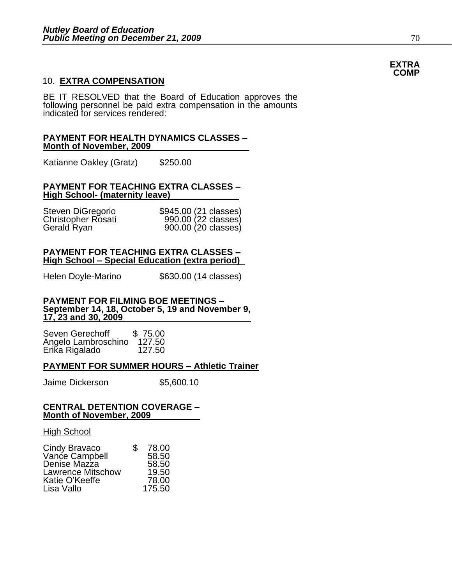# 10. **EXTRA COMPENSATION**

BE IT RESOLVED that the Board of Education approves the following personnel be paid extra compensation in the amounts indicated for services rendered:

#### **PAYMENT FOR HEALTH DYNAMICS CLASSES – Month of November, 2009**

Katianne Oakley (Gratz) \$250.00

#### **PAYMENT FOR TEACHING EXTRA CLASSES – High School- (maternity leave)**

| Steven DiGregorio  | \$945.00 (21 classes) |  |
|--------------------|-----------------------|--|
| Christopher Rosati | 990.00 (22 classes)   |  |
| Gerald Ryan        | 900.00 (20 classes)   |  |

#### **PAYMENT FOR TEACHING EXTRA CLASSES – High School – Special Education (extra period)**

Helen Doyle-Marino \$630.00 (14 classes)

#### **PAYMENT FOR FILMING BOE MEETINGS – September 14, 18, October 5, 19 and November 9, 17, 23 and 30, 2009**

Seven Gerechoff \$75.00<br>Angelo Lambroschino 127.50 Angelo Lambroschino 127.50 Erika Rigalado

#### **PAYMENT FOR SUMMER HOURS – Athletic Trainer**

Jaime Dickerson \$5,600.10

#### **CENTRAL DETENTION COVERAGE – Month of November, 2009**

High School

| Cindy Bravaco            | \$<br>78.00 |
|--------------------------|-------------|
| Vance Campbell           | 58.50       |
| Denise Mazza             | 58.50       |
| <b>Lawrence Mitschow</b> | 19.50       |
| Katie O'Keeffe           | 78.00       |
| Lisa Vallo               | 175.50      |

#### **EXTRA COMP**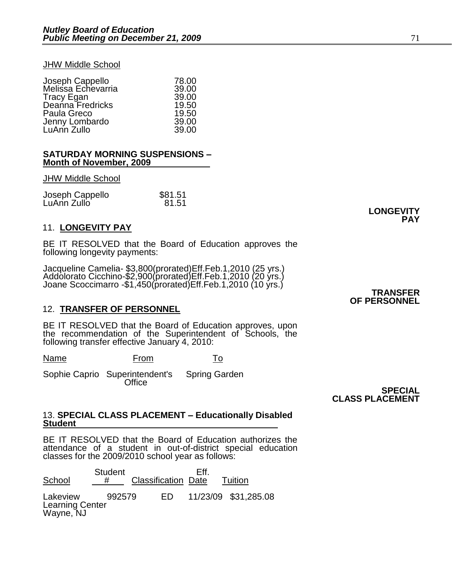#### **JHW Middle School**

|                                       | 78.00 |
|---------------------------------------|-------|
| Joseph Cappello<br>Melissa Echevarria | 39.00 |
| <b>Tracy Egan</b>                     | 39.00 |
| Deanna Fredricks                      | 19.50 |
| Paula Greco                           | 19.50 |
| Jenny Lombardo                        | 39.00 |
| LuAnn Zullo                           | 39.00 |

#### **SATURDAY MORNING SUSPENSIONS – Month of November, 2009**

#### **JHW Middle School**

| Joseph Cappello | \$81.51 |
|-----------------|---------|
| LuAnn Zullo     | 81.51   |

### 11. **LONGEVITY PAY**

BE IT RESOLVED that the Board of Education approves the following longevity payments:

Jacqueline Camelia- \$3,800(prorated)Eff.Feb.1,2010 (25 yrs.) Addolorato Cicchino-\$2,900(prorated)Eff.Feb.1,2010 (20 yrs.) Joane Scoccimarro -\$1,450(prorated)Eff.Feb.1,2010 (10 yrs.)

### 12. **TRANSFER OF PERSONNEL**

BE IT RESOLVED that the Board of Education approves, upon the recommendation of the Superintendent of Schools, the following transfer effective January 4, 2010:

Name From To

Sophie Caprio Superintendent's Spring Garden **Office** 

**SPECIAL CLASS PLACEMENT** 

#### 13. **SPECIAL CLASS PLACEMENT – Educationally Disabled Student**

BE IT RESOLVED that the Board of Education authorizes the attendance of a student in out-of-district special education classes for the 2009/2010 school year as follows:

Student Eff.<br>School # Classification Date Classification Date Tuition Lakeview 992579 ED 11/23/09 \$31,285.08 Learning Center Wayne, NJ

**TRANSFER OF PERSONNEL** 

**LONGEVITY** 

 **PAY**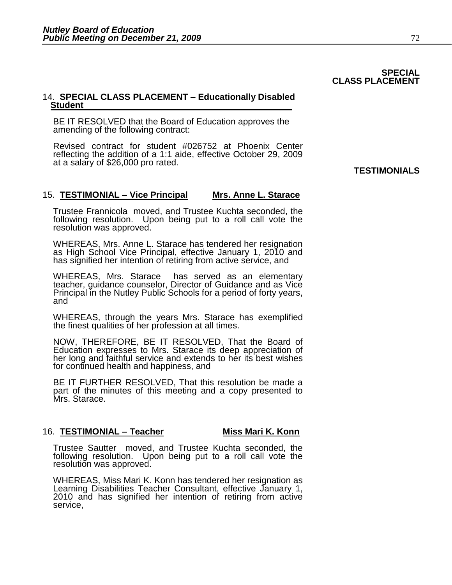#### **SPECIAL CLASS PLACEMENT**

### 14. **SPECIAL CLASS PLACEMENT – Educationally Disabled Student**

BE IT RESOLVED that the Board of Education approves the amending of the following contract:

Revised contract for student #026752 at Phoenix Center reflecting the addition of a 1:1 aide, effective October 29, 2009 at a salary of \$26,000 pro rated.

# **TESTIMONIALS**

# 15. **TESTIMONIAL – Vice Principal Mrs. Anne L. Starace**

Trustee Frannicola moved, and Trustee Kuchta seconded, the following resolution. Upon being put to a roll call vote the resolution was approved.

WHEREAS, Mrs. Anne L. Starace has tendered her resignation as High School Vice Principal, effective January 1, 2010 and has signified her intention of retiring from active service, and

WHEREAS, Mrs. Starace has served as an elementary teacher, guidance counselor, Director of Guidance and as Vice Principal in the Nutley Public Schools for a period of forty years, and

WHEREAS, through the years Mrs. Starace has exemplified the finest qualities of her profession at all times.

NOW, THEREFORE, BE IT RESOLVED, That the Board of Education expresses to Mrs. Starace its deep appreciation of her long and faithful service and extends to her its best wishes for continued health and happiness, and

BE IT FURTHER RESOLVED, That this resolution be made a part of the minutes of this meeting and a copy presented to Mrs. Starace.

### 16. **TESTIMONIAL – Teacher Miss Mari K. Konn**

Trustee Sautter moved, and Trustee Kuchta seconded, the following resolution. Upon being put to a roll call vote the resolution was approved.

WHEREAS, Miss Mari K. Konn has tendered her resignation as Learning Disabilities Teacher Consultant, effective January 1, 2010 and has signified her intention of retiring from active service,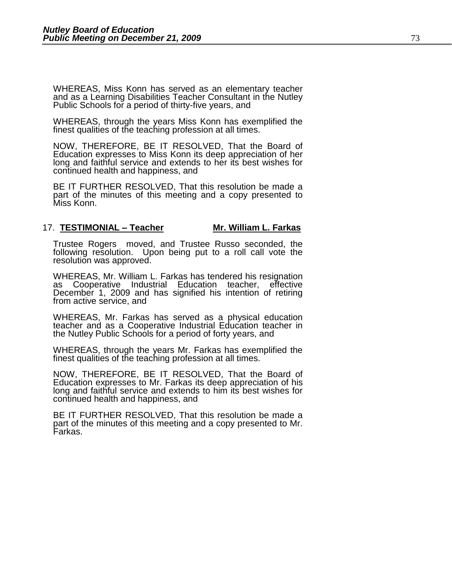WHEREAS, Miss Konn has served as an elementary teacher and as a Learning Disabilities Teacher Consultant in the Nutley Public Schools for a period of thirty-five years, and

WHEREAS, through the years Miss Konn has exemplified the finest qualities of the teaching profession at all times.

NOW, THEREFORE, BE IT RESOLVED, That the Board of Education expresses to Miss Konn its deep appreciation of her long and faithful service and extends to her its best wishes for continued health and happiness, and

BE IT FURTHER RESOLVED, That this resolution be made a part of the minutes of this meeting and a copy presented to Miss Konn.

#### 17. **TESTIMONIAL – Teacher Mr. William L. Farkas**

Trustee Rogers moved, and Trustee Russo seconded, the following resolution. Upon being put to a roll call vote the resolution was approved.

WHEREAS, Mr. William L. Farkas has tendered his resignation as Cooperative Industrial Education teacher, effective December 1, 2009 and has signified his intention of retiring from active service, and

WHEREAS, Mr. Farkas has served as a physical education teacher and as a Cooperative Industrial Education teacher in the Nutley Public Schools for a period of forty years, and

WHEREAS, through the years Mr. Farkas has exemplified the finest qualities of the teaching profession at all times.

NOW, THEREFORE, BE IT RESOLVED, That the Board of Education expresses to Mr. Farkas its deep appreciation of his long and faithful service and extends to him its best wishes for continued health and happiness, and

BE IT FURTHER RESOLVED, That this resolution be made a part of the minutes of this meeting and a copy presented to Mr. Farkas.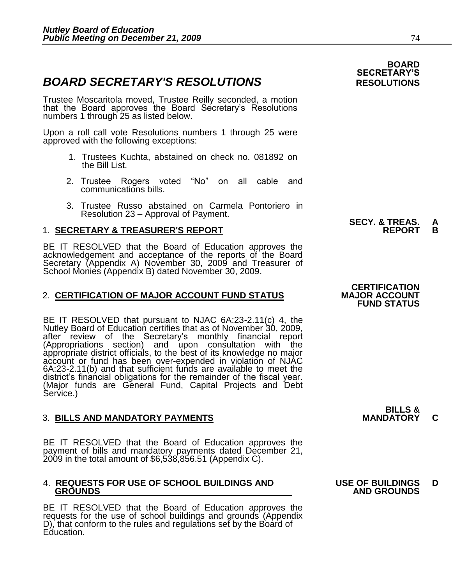# **BOARD SECRETARY'S RESOLUTIONS RESOLUTIONS**

Trustee Moscaritola moved, Trustee Reilly seconded, a motion that the Board approves the Board Secretary's Resolutions numbers 1 through 25 as listed below.

Upon a roll call vote Resolutions numbers 1 through 25 were approved with the following exceptions:

- 1. Trustees Kuchta, abstained on check no. 081892 on the Bill List.
- 2. Trustee Rogers voted "No" on all cable and communications bills.
- 3. Trustee Russo abstained on Carmela Pontoriero in Resolution 23 – Approval of Payment.

# 1. **SECRETARY & TREASURER'S REPORT REPORT B**

 BE IT RESOLVED that the Board of Education approves the acknowledgement and acceptance of the reports of the Board Secretary (Appendix A) November 30, 2009 and Treasurer of School Monies (Appendix B) dated November 30, 2009.

# 2. **CERTIFICATION OF MAJOR ACCOUNT FUND STATUS**

BE IT RESOLVED that pursuant to NJAC 6A:23-2.11(c) 4, the Nutley Board of Education certifies that as of November 30, 2009, after review of the Secretary's monthly financial report<br>(Appropriations section) and upon consultation with the (Appropriations section) and upon consultation with the appropriate district officials, to the best of its knowledge no major account or fund has been over-expended in violation of NJAC 6A:23-2.11(b) and that sufficient funds are available to meet the district's financial obligations for the remainder of the fiscal year. (Major funds are General Fund, Capital Projects and Debt Service.)

# **3. BILLS AND MANDATORY PAYMENTS**

BE IT RESOLVED that the Board of Education approves the payment of bills and mandatory payments dated December 21, 2009 in the total amount of \$6,538,856.51 (Appendix C).

#### 4. **REQUESTS FOR USE OF SCHOOL BUILDINGS AND USE OF BUILDINGS D GROUNDS** AND GROUNDS **AND GROUNDS**

BE IT RESOLVED that the Board of Education approves the requests for the use of school buildings and grounds (Appendix D), that conform to the rules and regulations set by the Board of Education.

# **SECY. & TREAS. A**

# **CERTIFICATION FUND STATUS**

**BILLS &** 

**BOARD** 

**SECRETARY'S**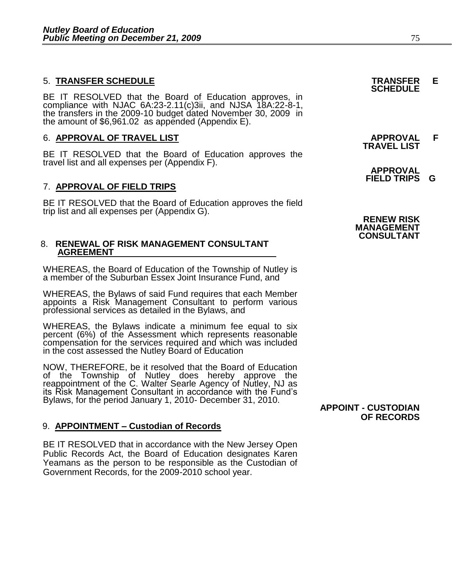# 5. **TRANSFER SCHEDULE TRANSFER E**

BE IT RESOLVED that the Board of Education approves, in compliance with NJAC 6A:23-2.11(c)3ii, and NJSA 18A:22-8-1, the transfers in the 2009-10 budget dated November 30, 2009 in the amount of  $$6,961.02$  as appended (Appendix E).

## 6. **APPROVAL OF TRAVEL LIST APPROVAL F**

BE IT RESOLVED that the Board of Education approves the travel list and all expenses per (Appendix F).

### 7. **APPROVAL OF FIELD TRIPS**

BE IT RESOLVED that the Board of Education approves the field trip list and all expenses per (Appendix G).

#### 8. **RENEWAL OF RISK MANAGEMENT CONSULTANT AGREEMENT**

WHEREAS, the Board of Education of the Township of Nutley is a member of the Suburban Essex Joint Insurance Fund, and

WHEREAS, the Bylaws of said Fund requires that each Member appoints a Risk Management Consultant to perform various professional services as detailed in the Bylaws, and

WHEREAS, the Bylaws indicate a minimum fee equal to six percent (6%) of the Assessment which represents reasonable compensation for the services required and which was included in the cost assessed the Nutley Board of Education

NOW, THEREFORE, be it resolved that the Board of Education of the Township of Nutley does hereby approve the reappointment of the C. Walter Searle Agency of Nutley, NJ as its Risk Management Consultant in accordance with the Fund's Bylaws, for the period January 1, 2010- December 31, 2010.

# 9. **APPOINTMENT – Custodian of Records**

BE IT RESOLVED that in accordance with the New Jersey Open Public Records Act, the Board of Education designates Karen Yeamans as the person to be responsible as the Custodian of Government Records, for the 2009-2010 school year.

**TRAVEL LIST** 

 **APPROVAL FIELD TRIPS G** 



**APPOINT - CUSTODIAN OF RECORDS**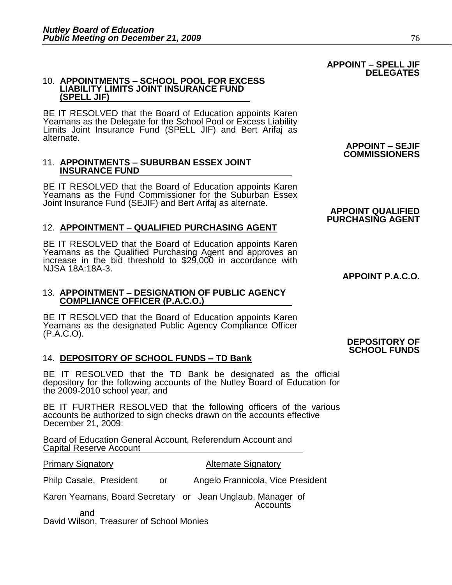#### 10. **APPOINTMENTS – SCHOOL POOL FOR EXCESS LIABILITY LIMITS JOINT INSURANCE FUND (SPELL JIF)**

BE IT RESOLVED that the Board of Education appoints Karen Yeamans as the Delegate for the School Pool or Excess Liability Limits Joint Insurance Fund (SPELL JIF) and Bert Arifaj as alternate.

#### 11. **APPOINTMENTS – SUBURBAN ESSEX JOINT INSURANCE FUND**

BE IT RESOLVED that the Board of Education appoints Karen Yeamans as the Fund Commissioner for the Suburban Essex Joint Insurance Fund (SEJIF) and Bert Arifaj as alternate.

# 12. **APPOINTMENT – QUALIFIED PURCHASING AGENT**

BE IT RESOLVED that the Board of Education appoints Karen Yeamans as the Qualified Purchasing Agent and approves an increase in the bid threshold to \$29,000 in accordance with NJSA 18A:18A-3.

#### 13. **APPOINTMENT – DESIGNATION OF PUBLIC AGENCY COMPLIANCE OFFICER (P.A.C.O.)**

BE IT RESOLVED that the Board of Education appoints Karen Yeamans as the designated Public Agency Compliance Officer (P.A.C.O).

# 14. **DEPOSITORY OF SCHOOL FUNDS – TD Bank**

BE IT RESOLVED that the TD Bank be designated as the official depository for the following accounts of the Nutley Board of Education for the 2009-2010 school year, and

BE IT FURTHER RESOLVED that the following officers of the various accounts be authorized to sign checks drawn on the accounts effective December 21, 2009:

Board of Education General Account, Referendum Account and Capital Reserve Account

#### **Primary Signatory Community Community Primary Signatory**

Philp Casale, President or Angelo Frannicola, Vice President

Karen Yeamans, Board Secretary or Jean Unglaub, Manager of **Accounts** 

 and David Wilson, Treasurer of School Monies

#### **APPOINT – SEJIF COMMISSIONERS**

# **APPOINT P.A.C.O.**

**APPOINT QUALIFIED PURCHASING AGENT** 

#### **DEPOSITORY OF SCHOOL FUNDS**

#### **APPOINT – SPELL JIF DELEGATES**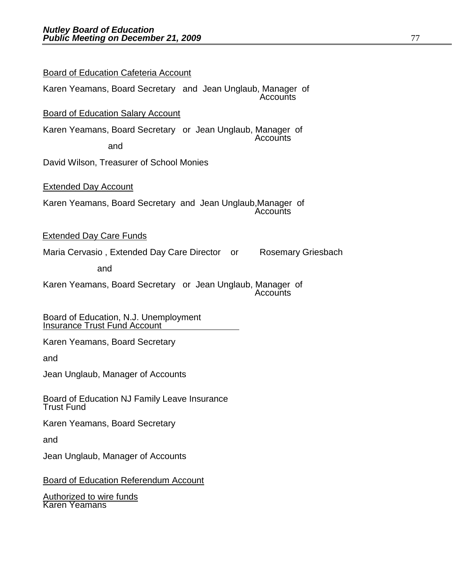| <b>Board of Education Cafeteria Account</b>                                   |
|-------------------------------------------------------------------------------|
| Karen Yeamans, Board Secretary and Jean Unglaub, Manager of<br>Accounts       |
| <b>Board of Education Salary Account</b>                                      |
| Karen Yeamans, Board Secretary or Jean Unglaub, Manager of<br>Accounts<br>and |
| David Wilson, Treasurer of School Monies                                      |
| <b>Extended Day Account</b>                                                   |
| Karen Yeamans, Board Secretary and Jean Unglaub, Manager of<br>Accounts       |
| <b>Extended Day Care Funds</b>                                                |
| Maria Cervasio, Extended Day Care Director or<br><b>Rosemary Griesbach</b>    |
| and                                                                           |
| Karen Yeamans, Board Secretary or Jean Unglaub, Manager of<br>Accounts        |
| Board of Education, N.J. Unemployment<br><b>Insurance Trust Fund Account</b>  |
| Karen Yeamans, Board Secretary                                                |
| and                                                                           |
| Jean Unglaub, Manager of Accounts                                             |
| Board of Education NJ Family Leave Insurance<br><b>Trust Fund</b>             |
| Karen Yeamans, Board Secretary                                                |
| and                                                                           |
| Jean Unglaub, Manager of Accounts                                             |
| <b>Board of Education Referendum Account</b>                                  |
|                                                                               |

Authorized to wire funds Karen Yeamans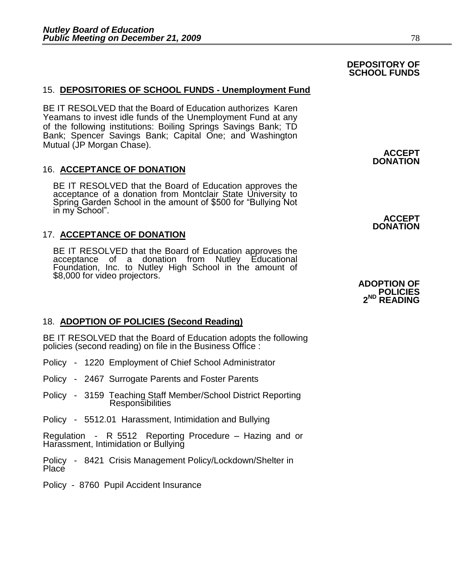# 15. **DEPOSITORIES OF SCHOOL FUNDS - Unemployment Fund**

BE IT RESOLVED that the Board of Education authorizes Karen Yeamans to invest idle funds of the Unemployment Fund at any of the following institutions: Boiling Springs Savings Bank; TD Bank; Spencer Savings Bank; Capital One; and Washington Mutual (JP Morgan Chase).

# 16. **ACCEPTANCE OF DONATION**

BE IT RESOLVED that the Board of Education approves the acceptance of a donation from Montclair State University to Spring Garden School in the amount of \$500 for "Bullying Not in my School".

# 17. **ACCEPTANCE OF DONATION**

BE IT RESOLVED that the Board of Education approves the acceptance of a donation from Nutley Educational Foundation, Inc. to Nutley High School in the amount of \$8,000 for video projectors.

# 18. **ADOPTION OF POLICIES (Second Reading)**

BE IT RESOLVED that the Board of Education adopts the following policies (second reading) on file in the Business Office :

- Policy 1220 Employment of Chief School Administrator
- Policy 2467 Surrogate Parents and Foster Parents
- Policy 3159 Teaching Staff Member/School District Reporting Responsibilities
- Policy 5512.01 Harassment, Intimidation and Bullying

Regulation - R 5512 Reporting Procedure – Hazing and or Harassment, Intimidation or Bullying

Policy - 8421 Crisis Management Policy/Lockdown/Shelter in **Place** 

Policy - 8760 Pupil Accident Insurance

**DEPOSITORY OF SCHOOL FUNDS**

> **ACCEPT DONATION**

#### **ADOPTION OF POLICIES 2 ND READING**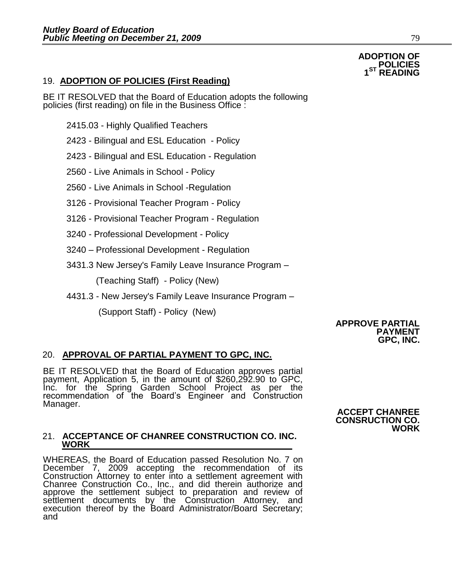# 19. **ADOPTION OF POLICIES (First Reading)**

BE IT RESOLVED that the Board of Education adopts the following policies (first reading) on file in the Business Office :

- 2415.03 Highly Qualified Teachers
- 2423 Bilingual and ESL Education Policy

2423 - Bilingual and ESL Education - Regulation

- 2560 Live Animals in School Policy
- 2560 Live Animals in School -Regulation
- 3126 Provisional Teacher Program Policy
- 3126 Provisional Teacher Program Regulation
- 3240 Professional Development Policy
- 3240 Professional Development Regulation
- 3431.3 New Jersey's Family Leave Insurance Program –

(Teaching Staff) - Policy (New)

4431.3 - New Jersey's Family Leave Insurance Program –

(Support Staff) - Policy (New)

#### **APPROVE PARTIAL PAYMENT GPC, INC.**

### 20. **APPROVAL OF PARTIAL PAYMENT TO GPC, INC.**

BE IT RESOLVED that the Board of Education approves partial payment, Application 5, in the amount of \$260,292.90 to GPC, Inc. for the Spring Garden School Project as per the recommendation of the Board's Engineer and Construction Manager.

#### 21. **ACCEPTANCE OF CHANREE CONSTRUCTION CO. INC. WORK**

WHEREAS, the Board of Education passed Resolution No. 7 on December 7, 2009 accepting the recommendation of its Construction Attorney to enter into a settlement agreement with Chanree Construction Co., Inc., and did therein authorize and approve the settlement subject to preparation and review of settlement documents by the Construction Attorney, and execution thereof by the Board Administrator/Board Secretary; and

#### **ACCEPT CHANREE CONSRUCTION CO. WORK**

#### **ADOPTION OF POLICIES 1**ST **ST READING**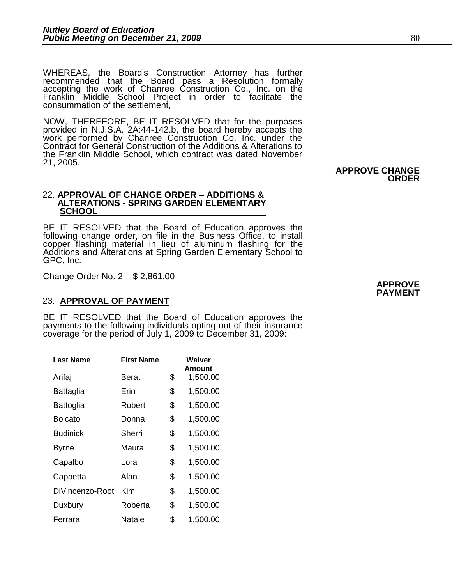WHEREAS, the Board's Construction Attorney has further recommended that the Board pass a Resolution formally accepting the work of Chanree Construction Co., Inc. on the Franklin Middle School Project in order to facilitate the consummation of the settlement,

NOW, THEREFORE, BE IT RESOLVED that for the purposes provided in N.J.S.A. 2A:44-142.b, the board hereby accepts the work performed by Chanree Construction Co. Inc. under the Contract for General Construction of the Additions & Alterations to the Franklin Middle School, which contract was dated November 21, 2005.

**ORDER** 

#### 22. **APPROVAL OF CHANGE ORDER – ADDITIONS & ALTERATIONS - SPRING GARDEN ELEMENTARY SCHOOL**

BE IT RESOLVED that the Board of Education approves the following change order, on file in the Business Office, to install copper flashing material in lieu of aluminum flashing for the Additions and Alterations at Spring Garden Elementary School to GPC, Inc.

Change Order No. 2 – \$ 2,861.00

# 23. **APPROVAL OF PAYMENT**

BE IT RESOLVED that the Board of Education approves the payments to the following individuals opting out of their insurance coverage for the period of July 1, 2009 to December 31, 2009:

| <b>Last Name</b> | <b>First Name</b> | Waiver<br>Amount |
|------------------|-------------------|------------------|
| Arifaj           | Berat             | \$<br>1,500.00   |
| Battaglia        | Erin              | \$<br>1,500.00   |
| Battoglia        | Robert            | \$<br>1,500.00   |
| Bolcato          | Donna             | \$<br>1,500.00   |
| <b>Budinick</b>  | Sherri            | \$<br>1,500.00   |
| Byrne            | Maura             | \$<br>1,500.00   |
| Capalbo          | Lora              | \$<br>1,500.00   |
| Cappetta         | Alan              | \$<br>1,500.00   |
| DiVincenzo-Root  | Kim               | \$<br>1,500.00   |
| Duxbury          | Roberta           | \$<br>1,500.00   |
| Ferrara          | Natale            | \$<br>1,500.00   |

 **APPROVE PAYMENT** 

**APPROVE CHANGE**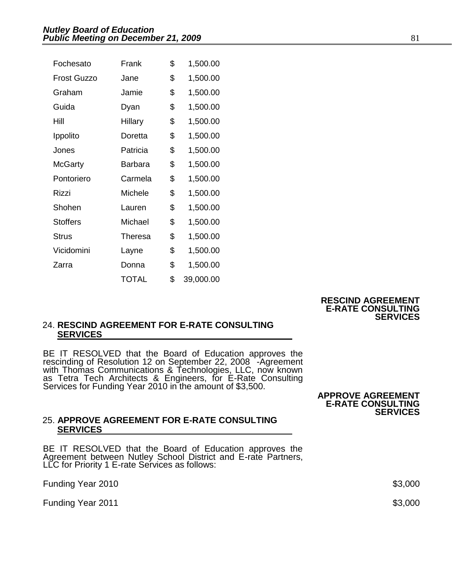| Fochesato          | Frank          | \$<br>1,500.00  |
|--------------------|----------------|-----------------|
| <b>Frost Guzzo</b> | Jane           | \$<br>1,500.00  |
| Graham             | Jamie          | \$<br>1,500.00  |
| Guida              | Dyan           | \$<br>1,500.00  |
| Hill               | Hillary        | \$<br>1,500.00  |
| Ippolito           | Doretta        | \$<br>1,500.00  |
| Jones              | Patricia       | \$<br>1,500.00  |
| McGarty            | Barbara        | \$<br>1,500.00  |
| Pontoriero         | Carmela        | \$<br>1,500.00  |
| Rizzi              | <b>Michele</b> | \$<br>1,500.00  |
| Shohen             | Lauren         | \$<br>1,500.00  |
| <b>Stoffers</b>    | Michael        | \$<br>1,500.00  |
| <b>Strus</b>       | Theresa        | \$<br>1,500.00  |
| Vicidomini         | Layne          | \$<br>1,500.00  |
| Zarra              | Donna          | \$<br>1,500.00  |
|                    | TOTAL          | \$<br>39,000.00 |

 **RESCIND AGREEMENT E-RATE CONSULTING SERVICES** 

# 24. **RESCIND AGREEMENT FOR E-RATE CONSULTING SERVICES**

BE IT RESOLVED that the Board of Education approves the rescinding of Resolution 12 on September 22, 2008 - Agreement with Thomas Communications & Technologies, LLC, now known as Tetra Tech Architects & Engineers, for E-Rate Consulting Services for Funding Year 2010 in the amount of \$3,500.

#### **APPROVE AGREEMENT E-RATE CONSULTING SERVICES**

### 25. **APPROVE AGREEMENT FOR E-RATE CONSULTING SERVICES**

BE IT RESOLVED that the Board of Education approves the Agreement between Nutley School District and E-rate Partners, LLC for Priority 1 E-rate Services as follows:

Funding Year 2010 \$3,000

Funding Year 2011  $$3,000$